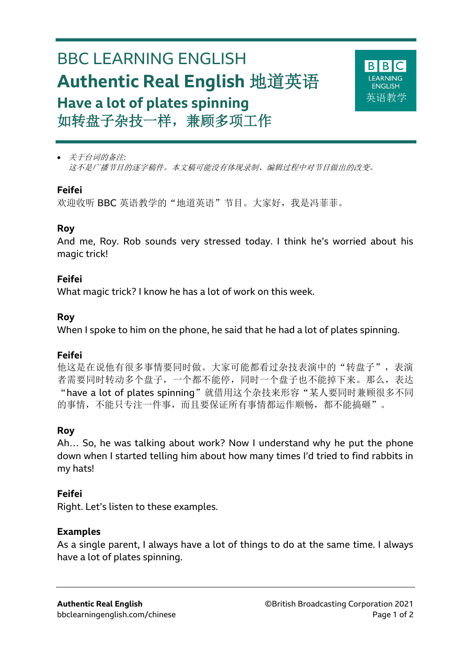# BBC LEARNING ENGLISH **Authentic Real English** 地道英语 **Have a lot of plates spinning** 如转盘子杂技一样,兼顾多项工作



 关于台词的备注*:* 这不是广播节目的逐字稿件。本文稿可能没有体现录制、编辑过程中对节目做出的改变。

#### **Feifei**

欢迎收听 BBC 英语教学的"地道英语"节目。大家好, 我是冯菲菲。

#### **Roy**

And me, Roy. Rob sounds very stressed today. I think he's worried about his magic trick!

#### **Feifei**

What magic trick? I know he has a lot of work on this week.

#### **Roy**

When I spoke to him on the phone, he said that he had a lot of plates spinning.

## **Feifei**

他这是在说他有很多事情要同时做。大家可能都看过杂技表演中的"转盘子",表演 者需要同时转动多个盘子,一个都不能停,同时一个盘子也不能掉下来。那么,表达 "have a lot of plates spinning"就借用这个杂技来形容"某人要同时兼顾很多不同 的事情,不能只专注一件事,而且要保证所有事情都运作顺畅,都不能搞砸"。

## **Roy**

Ah… So, he was talking about work? Now I understand why he put the phone down when I started telling him about how many times I'd tried to find rabbits in my hats!

## **Feifei**

Right. Let's listen to these examples.

## **Examples**

As a single parent, I always have a lot of things to do at the same time. I always have a lot of plates spinning.